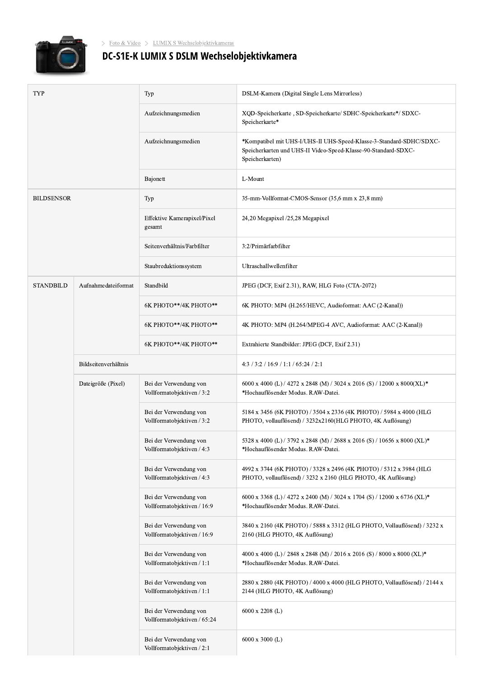

## **Exploration State State State State State State State State State State State State State State State State State State State State State State State State State State State State State State State State State State State**

| <b>TYP</b>        |                      | Typ                                                    | DSLM-Kamera (Digital Single Lens Mirrorless)                                                                                                             |
|-------------------|----------------------|--------------------------------------------------------|----------------------------------------------------------------------------------------------------------------------------------------------------------|
|                   |                      | Aufzeichnungsmedien                                    | XQD-Speicherkarte, SD-Speicherkarte/ SDHC-Speicherkarte*/ SDXC-<br>Speicherkarte*                                                                        |
|                   |                      | Aufzeichnungsmedien                                    | *Kompatibel mit UHS-I/UHS-II UHS-Speed-Klasse-3-Standard-SDHC/SDXC-<br>Speicherkarten und UHS-II Video-Speed-Klasse-90-Standard-SDXC-<br>Speicherkarten) |
|                   |                      | Bajonett                                               | L-Mount                                                                                                                                                  |
| <b>BILDSENSOR</b> |                      | Typ                                                    | 35-mm-Vollformat-CMOS-Sensor (35,6 mm x 23,8 mm)                                                                                                         |
|                   |                      | Effektive Kamerapixel/Pixel<br>gesamt                  | 24,20 Megapixel /25,28 Megapixel                                                                                                                         |
|                   |                      | Seitenverhältnis/Farbfilter                            | 3:2/Primärfarbfilter                                                                                                                                     |
|                   |                      | Staubreduktionssystem                                  | Ultraschallwellenfilter                                                                                                                                  |
| <b>STANDBILD</b>  | Aufnahmedateiformat  | Standbild                                              | JPEG (DCF, Exif 2.31), RAW, HLG Foto (CTA-2072)                                                                                                          |
|                   |                      | 6К РНОТО**/4К РНОТО**                                  | 6K PHOTO: MP4 (H.265/HEVC, Audioformat: AAC (2-Kanal))                                                                                                   |
|                   |                      | 6К РНОТО**/4К РНОТО**                                  | 4K PHOTO: MP4 (H.264/MPEG-4 AVC, Audioformat: AAC (2-Kanal))                                                                                             |
|                   |                      | 6К РНОТО**/4К РНОТО**                                  | Extrahierte Standbilder: JPEG (DCF, Exif 2.31)                                                                                                           |
|                   | Bildseitenverhältnis |                                                        | 4.3/3.2/16.9/1.1/65.24/2.1                                                                                                                               |
|                   | Dateigröße (Pixel)   | Bei der Verwendung von<br>Vollformatobjektiven / 3:2   | 6000 x 4000 (L) / 4272 x 2848 (M) / 3024 x 2016 (S) / 12000 x 8000(XL)*<br>*Hochauflösender Modus. RAW-Datei.                                            |
|                   |                      | Bei der Verwendung von<br>Vollformatobjektiven / 3:2   | 5184 x 3456 (6K PHOTO) / 3504 x 2336 (4K PHOTO) / 5984 x 4000 (HLG<br>PHOTO, vollauflösend) / 3232x2160(HLG PHOTO, 4K Auflösung)                         |
|                   |                      | Bei der Verwendung von<br>Vollformatobjektiven / 4:3   | 5328 x 4000 (L) / 3792 x 2848 (M) / 2688 x 2016 (S) / 10656 x 8000 (XL)*<br>*Hochauflösender Modus. RAW-Datei.                                           |
|                   |                      | Bei der Verwendung von<br>Vollformatobjektiven / 4:3   | 4992 x 3744 (6K PHOTO) / 3328 x 2496 (4K PHOTO) / 5312 x 3984 (HLG<br>PHOTO, vollauflösend) / 3232 x 2160 (HLG PHOTO, 4K Auflösung)                      |
|                   |                      | Bei der Verwendung von<br>Vollformatobjektiven / 16:9  | 6000 x 3368 (L) / 4272 x 2400 (M) / 3024 x 1704 (S) / 12000 x 6736 (XL)*<br>*Hochauflösender Modus. RAW-Datei.                                           |
|                   |                      | Bei der Verwendung von<br>Vollformatobjektiven / 16:9  | 3840 x 2160 (4K PHOTO) / 5888 x 3312 (HLG PHOTO, Vollauflösend) / 3232 x<br>2160 (HLG PHOTO, 4K Auflösung)                                               |
|                   |                      | Bei der Verwendung von<br>Vollformatobjektiven / 1:1   | 4000 x 4000 (L) / 2848 x 2848 (M) / 2016 x 2016 (S) / 8000 x 8000 (XL)*<br>*Hochauflösender Modus. RAW-Datei.                                            |
|                   |                      | Bei der Verwendung von<br>Vollformatobjektiven / 1:1   | 2880 x 2880 (4K PHOTO) / 4000 x 4000 (HLG PHOTO, Vollauflösend) / 2144 x<br>2144 (HLG PHOTO, 4K Auflösung)                                               |
|                   |                      | Bei der Verwendung von<br>Vollformatobjektiven / 65:24 | $6000 \times 2208$ (L)                                                                                                                                   |
|                   |                      | Bei der Verwendung von<br>Vollformatobjektiven / 2:1   | $6000 \times 3000$ (L)                                                                                                                                   |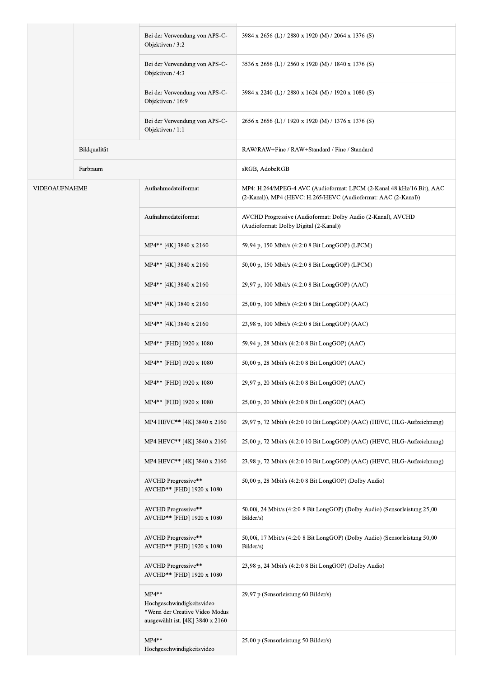|                      |              | Bei der Verwendung von APS-C-<br>Objektiven / 3:2                                                          | 3984 x 2656 (L) / 2880 x 1920 (M) / 2064 x 1376 (S)                                                                                     |
|----------------------|--------------|------------------------------------------------------------------------------------------------------------|-----------------------------------------------------------------------------------------------------------------------------------------|
|                      |              | Bei der Verwendung von APS-C-<br>Objektiven / 4:3                                                          | 3536 x 2656 (L) / 2560 x 1920 (M) / 1840 x 1376 (S)                                                                                     |
|                      |              | Bei der Verwendung von APS-C-<br>Objektiven / 16:9                                                         | 3984 x 2240 (L) / 2880 x 1624 (M) / 1920 x 1080 (S)                                                                                     |
|                      |              | Bei der Verwendung von APS-C-<br>Objektiven / 1:1                                                          | 2656 x 2656 (L) / 1920 x 1920 (M) / 1376 x 1376 (S)                                                                                     |
|                      | Bildqualität |                                                                                                            | RAW/RAW+Fine / RAW+Standard / Fine / Standard                                                                                           |
|                      | Farbraum     |                                                                                                            | sRGB, AdobeRGB                                                                                                                          |
| <b>VIDEOAUFNAHME</b> |              | Aufnahmedateiformat                                                                                        | MP4: H.264/MPEG-4 AVC (Audioformat: LPCM (2-Kanal 48 kHz/16 Bit), AAC<br>(2-Kanal)), MP4 (HEVC: H.265/HEVC (Audioformat: AAC (2-Kanal)) |
|                      |              | Aufnahmedateiformat                                                                                        | AVCHD Progressive (Audioformat: Dolby Audio (2-Kanal), AVCHD<br>(Audioformat: Dolby Digital (2-Kanal))                                  |
|                      |              | MP4** [4K] 3840 x 2160                                                                                     | 59,94 p, 150 Mbit/s (4:2:0 8 Bit LongGOP) (LPCM)                                                                                        |
|                      |              | MP4** [4K] 3840 x 2160                                                                                     | 50,00 p, 150 Mbit/s (4:2:0 8 Bit LongGOP) (LPCM)                                                                                        |
|                      |              | MP4** [4K] 3840 x 2160                                                                                     | 29,97 p, 100 Mbit/s (4:2:0 8 Bit LongGOP) (AAC)                                                                                         |
|                      |              | MP4** [4K] 3840 x 2160                                                                                     | 25,00 p, 100 Mbit/s (4:2:0 8 Bit LongGOP) (AAC)                                                                                         |
|                      |              | MP4** [4K] 3840 x 2160                                                                                     | 23,98 p, 100 Mbit/s (4:2:0 8 Bit LongGOP) (AAC)                                                                                         |
|                      |              | MP4** [FHD] 1920 x 1080                                                                                    | 59,94 p, 28 Mbit/s (4:2:0 8 Bit LongGOP) (AAC)                                                                                          |
|                      |              | MP4** [FHD] 1920 x 1080                                                                                    | 50,00 p, 28 Mbit/s (4:2:0 8 Bit LongGOP) (AAC)                                                                                          |
|                      |              | MP4** [FHD] 1920 x 1080                                                                                    | 29,97 p, 20 Mbit/s (4:2:0 8 Bit LongGOP) (AAC)                                                                                          |
|                      |              | MP4** [FHD] 1920 x 1080                                                                                    | 25,00 p, 20 Mbit/s (4:2:0 8 Bit LongGOP) (AAC)                                                                                          |
|                      |              | MP4 HEVC** [4K] 3840 x 2160                                                                                | 29,97 p, 72 Mbit/s (4:2:0 10 Bit LongGOP) (AAC) (HEVC, HLG-Aufzeichnung)                                                                |
|                      |              | MP4 HEVC** [4K] 3840 x 2160                                                                                | 25,00 p, 72 Mbit/s (4:2:0 10 Bit LongGOP) (AAC) (HEVC, HLG-Aufzeichnung)                                                                |
|                      |              | MP4 HEVC** [4K] 3840 x 2160                                                                                | 23,98 p, 72 Mbit/s (4:2:0 10 Bit LongGOP) (AAC) (HEVC, HLG-Aufzeichnung)                                                                |
|                      |              | AVCHD Progressive**<br>AVCHD** [FHD] 1920 x 1080                                                           | 50,00 p, 28 Mbit/s (4:2:0 8 Bit LongGOP) (Dolby Audio)                                                                                  |
|                      |              | AVCHD Progressive**<br>AVCHD** [FHD] 1920 x 1080                                                           | 50.00i, 24 Mbit/s (4:2:0 8 Bit LongGOP) (Dolby Audio) (Sensorleistung 25,00<br>Bilder/s)                                                |
|                      |              | AVCHD Progressive**<br>AVCHD** [FHD] 1920 x 1080                                                           | 50,00i, 17 Mbit/s (4:2:0 8 Bit LongGOP) (Dolby Audio) (Sensorleistung 50,00<br>Bilder/s)                                                |
|                      |              | AVCHD Progressive**<br>AVCHD** [FHD] 1920 x 1080                                                           | 23,98 p, 24 Mbit/s (4:2:0 8 Bit LongGOP) (Dolby Audio)                                                                                  |
|                      |              | $MP4**$<br>Hochgeschwindigkeitsvideo<br>*Wenn der Creative Video Modus<br>ausgewählt ist. [4K] 3840 x 2160 | 29,97 p (Sensorleistung 60 Bilder/s)                                                                                                    |
|                      |              | $MP4**$<br>Hochgeschwindigkeitsvideo                                                                       | 25,00 p (Sensorleistung 50 Bilder/s)                                                                                                    |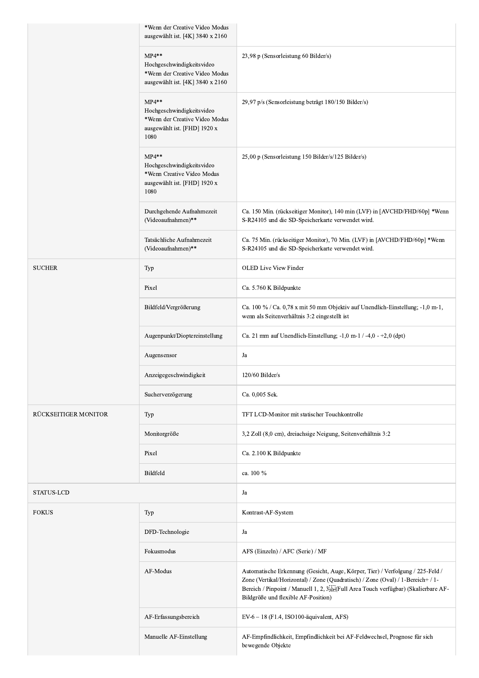|                      | *Wenn der Creative Video Modus<br>ausgewählt ist. [4K] 3840 x 2160                                             |                                                                                                                                                                                                                                                                                                   |
|----------------------|----------------------------------------------------------------------------------------------------------------|---------------------------------------------------------------------------------------------------------------------------------------------------------------------------------------------------------------------------------------------------------------------------------------------------|
|                      | $MP4**$<br>Hochgeschwindigkeitsvideo<br>*Wenn der Creative Video Modus<br>ausgewählt ist. [4K] 3840 x 2160     | 23,98 p (Sensorleistung 60 Bilder/s)                                                                                                                                                                                                                                                              |
|                      | $MP4**$<br>Hochgeschwindigkeitsvideo<br>*Wenn der Creative Video Modus<br>ausgewählt ist. [FHD] 1920 x<br>1080 | 29,97 p/s (Sensorleistung beträgt 180/150 Bilder/s)                                                                                                                                                                                                                                               |
|                      | $MP4**$<br>Hochgeschwindigkeitsvideo<br>*Wenn Creative Video Modus<br>ausgewählt ist. [FHD] 1920 x<br>1080     | 25,00 p (Sensorleistung 150 Bilder/s/125 Bilder/s)                                                                                                                                                                                                                                                |
|                      | Durchgehende Aufnahmezeit<br>(Videoaufnahmen)**                                                                | Ca. 150 Min. (rückseitiger Monitor), 140 min (LVF) in [AVCHD/FHD/60p] *Wenn<br>S-R24105 und die SD-Speicherkarte verwendet wird.                                                                                                                                                                  |
|                      | Tatsächliche Aufnahmezeit<br>(Videoaufnahmen)**                                                                | Ca. 75 Min. (rückseitiger Monitor), 70 Min. (LVF) in [AVCHD/FHD/60p] *Wenn<br>S-R24105 und die SD-Speicherkarte verwendet wird.                                                                                                                                                                   |
| <b>SUCHER</b>        | Typ                                                                                                            | <b>OLED Live View Finder</b>                                                                                                                                                                                                                                                                      |
|                      | Pixel                                                                                                          | Ca. 5.760 K Bildpunkte                                                                                                                                                                                                                                                                            |
|                      | Bildfeld/Vergrößerung                                                                                          | Ca. 100 % / Ca. 0,78 x mit 50 mm Objektiv auf Unendlich-Einstellung; -1,0 m-1,<br>wenn als Seitenverhältnis 3:2 eingestellt ist                                                                                                                                                                   |
|                      | Augenpunkt/Dioptereinstellung                                                                                  | Ca. 21 mm auf Unendlich-Einstellung; $-1,0$ m-1 / -4,0 - +2,0 (dpt)                                                                                                                                                                                                                               |
|                      | Augensensor                                                                                                    | Ja                                                                                                                                                                                                                                                                                                |
|                      | Anzeigegeschwindigkeit                                                                                         | $120/60$ Bilder/s                                                                                                                                                                                                                                                                                 |
|                      | Sucherverzögerung                                                                                              | Ca. 0,005 Sek.                                                                                                                                                                                                                                                                                    |
| RÜCKSEITIGER MONITOR | Typ                                                                                                            | TFT LCD-Monitor mit statischer Touchkontrolle                                                                                                                                                                                                                                                     |
|                      | Monitorgröße                                                                                                   | 3,2 Zoll (8,0 cm), dreiachsige Neigung, Seitenverhältnis 3:2                                                                                                                                                                                                                                      |
|                      | Pixel                                                                                                          | Ca. 2.100 K Bildpunkte                                                                                                                                                                                                                                                                            |
|                      | Bildfeld                                                                                                       | ca. 100 %                                                                                                                                                                                                                                                                                         |
| <b>STATUS-LCD</b>    |                                                                                                                | Ja                                                                                                                                                                                                                                                                                                |
| <b>FOKUS</b>         | Typ                                                                                                            | Kontrast-AF-System                                                                                                                                                                                                                                                                                |
|                      | DFD-Technologie                                                                                                | Ja                                                                                                                                                                                                                                                                                                |
|                      | Fokusmodus                                                                                                     | AFS (Einzeln) / AFC (Serie) / MF                                                                                                                                                                                                                                                                  |
|                      | AF-Modus                                                                                                       | Automatische Erkennung (Gesicht, Auge, Körper, Tier) / Verfolgung / 225-Feld /<br>Zone (Vertikal/Horizontal) / Zone (Quadratisch) / Zone (Oval) / 1-Bereich+ / 1-<br>Bereich / Pinpoint / Manuell 1, 2, 3 sep (Full Area Touch verfügbar) (Skalierbare AF-<br>Bildgröße und flexible AF-Position) |
|                      | AF-Erfassungsbereich                                                                                           | $EV-6 - 18$ (F1.4, ISO100-äquivalent, AFS)                                                                                                                                                                                                                                                        |
|                      | Manuelle AF-Einstellung                                                                                        | AF-Empfindlichkeit, Empfindlichkeit bei AF-Feldwechsel, Prognose für sich<br>bewegende Objekte                                                                                                                                                                                                    |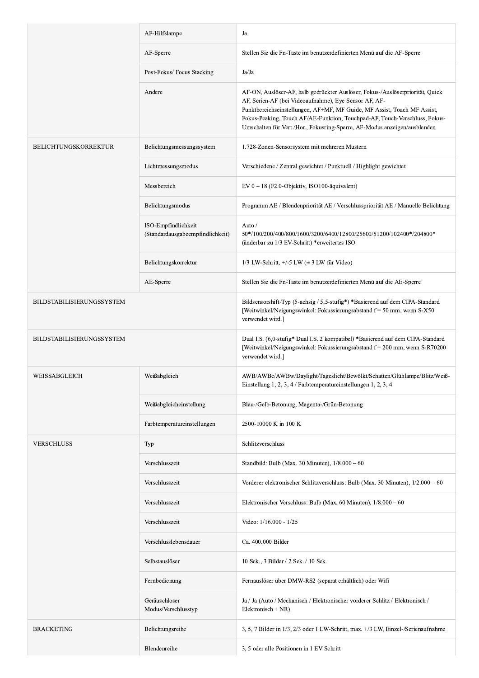|                           | AF-Hilfslampe                                           | Ja                                                                                                                                                                                                                                                                                                                                                                            |
|---------------------------|---------------------------------------------------------|-------------------------------------------------------------------------------------------------------------------------------------------------------------------------------------------------------------------------------------------------------------------------------------------------------------------------------------------------------------------------------|
|                           | AF-Sperre                                               | Stellen Sie die Fn-Taste im benutzerdefinierten Menü auf die AF-Sperre                                                                                                                                                                                                                                                                                                        |
|                           | Post-Fokus/ Focus Stacking                              | Ja/Ja                                                                                                                                                                                                                                                                                                                                                                         |
|                           | Andere                                                  | AF-ON, Auslöser-AF, halb gedrückter Auslöser, Fokus-/Auslöserpriorität, Quick<br>AF, Serien-AF (bei Videoaufnahme), Eye Sensor AF, AF-<br>Punktbereichseinstellungen, AF+MF, MF Guide, MF Assist, Touch MF Assist,<br>Fokus-Peaking, Touch AF/AE-Funktion, Touchpad-AF, Touch-Verschluss, Fokus-<br>Umschalten für Vert./Hor., Fokusring-Sperre, AF-Modus anzeigen/ausblenden |
| BELICHTUNGSKORREKTUR      | Belichtungsmessungssystem                               | 1.728-Zonen-Sensorsystem mit mehreren Mustern                                                                                                                                                                                                                                                                                                                                 |
|                           | Lichtmessungsmodus                                      | Verschiedene / Zentral gewichtet / Punktuell / Highlight gewichtet                                                                                                                                                                                                                                                                                                            |
|                           | Messbereich                                             | EV 0 - 18 (F2.0-Objektiv, ISO100-äquivalent)                                                                                                                                                                                                                                                                                                                                  |
|                           | Belichtungsmodus                                        | Programm AE / Blendenpriorität AE / Verschlusspriorität AE / Manuelle Belichtung                                                                                                                                                                                                                                                                                              |
|                           | ISO-Empfindlichkeit<br>(Standardausgabeempfindlichkeit) | Auto /<br>50*/100/200/400/800/1600/3200/6400/12800/25600/51200/102400*/204800*<br>(änderbar zu 1/3 EV-Schritt) *erweitertes ISO                                                                                                                                                                                                                                               |
|                           | Belichtungskorrektur                                    | $1/3$ LW-Schritt, $+/-5$ LW ( $\pm$ 3 LW für Video)                                                                                                                                                                                                                                                                                                                           |
|                           | AE-Sperre                                               | Stellen Sie die Fn-Taste im benutzerdefinierten Menü auf die AE-Sperre                                                                                                                                                                                                                                                                                                        |
| BILDSTABILISIERUNGSSYSTEM |                                                         | Bildsensorshift-Typ (5-achsig / 5,5-stufig*) *Basierend auf dem CIPA-Standard<br>[Weitwinkel/Neigungswinkel: Fokussierungsabstand $f = 50$ mm, wenn S-X50<br>verwendet wird.]                                                                                                                                                                                                 |
| BILDSTABILISIERUNGSSYSTEM |                                                         | Dual I.S. (6,0-stufig* Dual I.S. 2 kompatibel) *Basierend auf dem CIPA-Standard<br>[Weitwinkel/Neigungswinkel: Fokussierungsabstand f = 200 mm, wenn S-R70200<br>verwendet wird.]                                                                                                                                                                                             |
| WEISSABGLEICH             | Weißabgleich                                            | AWB/AWBc/AWBw/Daylight/Tageslicht/Bewölkt/Schatten/Glühlampe/Blitz/Weiß-<br>Einstellung 1, 2, 3, 4 / Farbtemperatureinstellungen 1, 2, 3, 4                                                                                                                                                                                                                                   |
|                           | Weißabgleicheinstellung                                 | Blau-/Gelb-Betonung, Magenta-/Grün-Betonung                                                                                                                                                                                                                                                                                                                                   |
|                           | Farbtemperatureinstellungen                             | 2500-10000 K in 100 K                                                                                                                                                                                                                                                                                                                                                         |
| <b>VERSCHLUSS</b>         | Typ                                                     | Schlitzverschluss                                                                                                                                                                                                                                                                                                                                                             |
|                           | Verschlusszeit                                          | Standbild: Bulb (Max. 30 Minuten), $1/8.000 - 60$                                                                                                                                                                                                                                                                                                                             |
|                           | Verschlusszeit                                          | Vorderer elektronischer Schlitzverschluss: Bulb (Max. 30 Minuten), 1/2.000 – 60                                                                                                                                                                                                                                                                                               |
|                           | Verschlusszeit                                          | Elektronischer Verschluss: Bulb (Max. 60 Minuten), $1/8.000 - 60$                                                                                                                                                                                                                                                                                                             |
|                           | Verschlusszeit                                          | Video: 1/16.000 - 1/25                                                                                                                                                                                                                                                                                                                                                        |
|                           | Verschlusslebensdauer                                   | Ca. 400.000 Bilder                                                                                                                                                                                                                                                                                                                                                            |
|                           | Selbstauslöser                                          | 10 Sek., 3 Bilder / 2 Sek. / 10 Sek.                                                                                                                                                                                                                                                                                                                                          |
|                           | Fernbedienung                                           | Fernauslöser über DMW-RS2 (separat erhältlich) oder Wifi                                                                                                                                                                                                                                                                                                                      |
|                           | Geräuschloser<br>Modus/Verschlusstyp                    | Ja / Ja (Auto / Mechanisch / Elektronischer vorderer Schlitz / Elektronisch /<br>Elektronisch + NR)                                                                                                                                                                                                                                                                           |
| <b>BRACKETING</b>         | Belichtungsreihe                                        | 3, 5, 7 Bilder in $1/3$ , $2/3$ oder 1 LW-Schritt, max. $\pm/3$ LW, Einzel-/Serienaufnahme                                                                                                                                                                                                                                                                                    |
|                           | Blendenreihe                                            | 3, 5 oder alle Positionen in 1 EV Schritt                                                                                                                                                                                                                                                                                                                                     |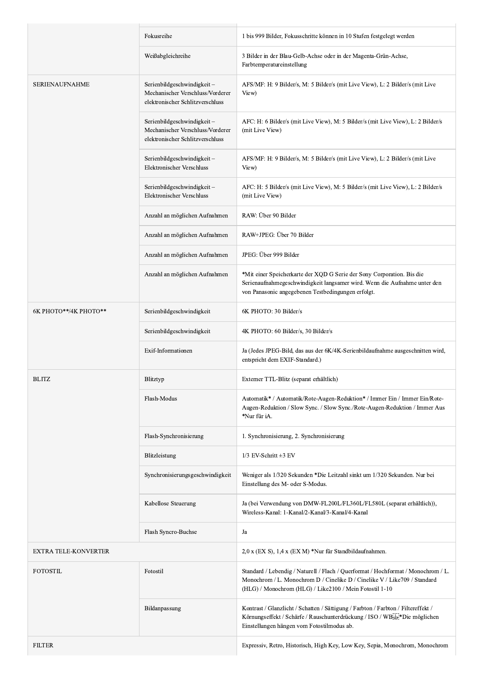|                             | Fokusreihe                                                                                         | 1 bis 999 Bilder, Fokusschritte können in 10 Stufen festgelegt werden                                                                                                                                                     |
|-----------------------------|----------------------------------------------------------------------------------------------------|---------------------------------------------------------------------------------------------------------------------------------------------------------------------------------------------------------------------------|
|                             | Weißabgleichreihe                                                                                  | 3 Bilder in der Blau-Gelb-Achse oder in der Magenta-Grün-Achse,<br>Farbtemperatureinstellung                                                                                                                              |
| SERIENAUFNAHME              | Serienbildgeschwindigkeit-<br>Mechanischer Verschluss/Vorderer<br>elektronischer Schlitzverschluss | AFS/MF: H: 9 Bilder/s, M: 5 Bilder/s (mit Live View), L: 2 Bilder/s (mit Live<br>View)                                                                                                                                    |
|                             | Serienbildgeschwindigkeit-<br>Mechanischer Verschluss/Vorderer<br>elektronischer Schlitzverschluss | AFC: H: 6 Bilder/s (mit Live View), M: 5 Bilder/s (mit Live View), L: 2 Bilder/s<br>(mit Live View)                                                                                                                       |
|                             | Serienbildgeschwindigkeit-<br>Elektronischer Verschluss                                            | AFS/MF: H: 9 Bilder/s, M: 5 Bilder/s (mit Live View), L: 2 Bilder/s (mit Live<br>View)                                                                                                                                    |
|                             | Serienbildgeschwindigkeit-<br>Elektronischer Verschluss                                            | AFC: H: 5 Bilder/s (mit Live View), M: 5 Bilder/s (mit Live View), L: 2 Bilder/s<br>(mit Live View)                                                                                                                       |
|                             | Anzahl an möglichen Aufnahmen                                                                      | RAW: Über 90 Bilder                                                                                                                                                                                                       |
|                             | Anzahl an möglichen Aufnahmen                                                                      | RAW+JPEG: Über 70 Bilder                                                                                                                                                                                                  |
|                             | Anzahl an möglichen Aufnahmen                                                                      | JPEG: Über 999 Bilder                                                                                                                                                                                                     |
|                             | Anzahl an möglichen Aufnahmen                                                                      | *Mit einer Speicherkarte der XQD G Serie der Sony Corporation. Bis die<br>Serienaufnahmegeschwindigkeit langsamer wird. Wenn die Aufnahme unter den<br>von Panasonic angegebenen Testbedingungen erfolgt.                 |
| 6К РНОТО**/4К РНОТО**       | Serienbildgeschwindigkeit                                                                          | 6K PHOTO: 30 Bilder/s                                                                                                                                                                                                     |
|                             | Serienbildgeschwindigkeit                                                                          | 4K PHOTO: 60 Bilder/s, 30 Bilder/s                                                                                                                                                                                        |
|                             | Exif-Informationen                                                                                 | Ja (Jedes JPEG-Bild, das aus der 6K/4K-Serienbildaufnahme ausgeschnitten wird,<br>entspricht dem EXIF-Standard.)                                                                                                          |
| <b>BLITZ</b>                | Blitztyp                                                                                           | Externer TTL-Blitz (separat erhältlich)                                                                                                                                                                                   |
|                             | Flash-Modus                                                                                        | Automatik* / Automatik/Rote-Augen-Reduktion* / Immer Ein / Immer Ein/Rote-<br>Augen-Reduktion / Slow Sync. / Slow Sync./Rote-Augen-Reduktion / Immer Aus<br>*Nur für iA.                                                  |
|                             | Flash-Synchronisierung                                                                             | 1. Synchronisierung, 2. Synchronisierung                                                                                                                                                                                  |
|                             | Blitzleistung                                                                                      | $1/3$ EV-Schritt $\pm 3$ EV                                                                                                                                                                                               |
|                             | Synchronisierungsgeschwindigkeit                                                                   | Weniger als 1/320 Sekunden *Die Leitzahl sinkt um 1/320 Sekunden. Nur bei<br>Einstellung des M- oder S-Modus.                                                                                                             |
|                             | Kabellose Steuerung                                                                                | Ja (bei Verwendung von DMW-FL200L/FL360L/FL580L (separat erhältlich)),<br>Wireless-Kanal: 1-Kanal/2-Kanal/3-Kanal/4-Kanal                                                                                                 |
|                             | Flash Syncro-Buchse                                                                                | Ja                                                                                                                                                                                                                        |
| <b>EXTRA TELE-KONVERTER</b> |                                                                                                    | 2,0 x (EX S), 1,4 x (EX M) *Nur für Standbildaufnahmen.                                                                                                                                                                   |
| <b>FOTOSTIL</b>             | Fotostil                                                                                           | Standard / Lebendig / Naturell / Flach / Querformat / Hochformat / Monochrom / L.<br>Monochrom / L. Monochrom D / Cinelike D / Cinelike V / Like709 / Standard<br>(HLG) / Monochrom (HLG) / Like2100 / Mein Fotostil 1-10 |
|                             | Bildanpassung                                                                                      | Kontrast / Glanzlicht / Schatten / Sättigung / Farbton / Farbton / Filtereffekt /<br>Körnungseffekt / Schärfe / Rauschunterdrückung / ISO / WBiser Die möglichen<br>Einstellungen hängen vom Fotostilmodus ab.            |
| <b>FILTER</b>               |                                                                                                    | Expressiv, Retro, Historisch, High Key, Low Key, Sepia, Monochrom, Monochrom                                                                                                                                              |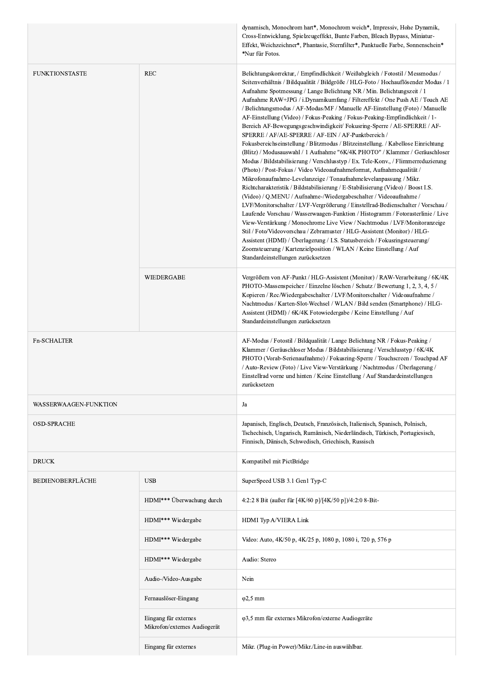|                         |                                                      | dynamisch, Monochrom hart*, Monochrom weich*, Impressiv, Hohe Dynamik,<br>Cross-Entwicklung, Spielzeugeffekt, Bunte Farben, Bleach Bypass, Miniatur-<br>Effekt, Weichzeichner*, Phantasie, Sternfilter*, Punktuelle Farbe, Sonnenschein*<br>*Nur für Fotos.                                                                                                                                                                                                                                                                                                                                                                                                                                                                                                                                                                                                                                                                                                                                                                                                                                                                                                                                                                                                                                                                                                                                                                                                                                                                                                                                                                                                                                                           |
|-------------------------|------------------------------------------------------|-----------------------------------------------------------------------------------------------------------------------------------------------------------------------------------------------------------------------------------------------------------------------------------------------------------------------------------------------------------------------------------------------------------------------------------------------------------------------------------------------------------------------------------------------------------------------------------------------------------------------------------------------------------------------------------------------------------------------------------------------------------------------------------------------------------------------------------------------------------------------------------------------------------------------------------------------------------------------------------------------------------------------------------------------------------------------------------------------------------------------------------------------------------------------------------------------------------------------------------------------------------------------------------------------------------------------------------------------------------------------------------------------------------------------------------------------------------------------------------------------------------------------------------------------------------------------------------------------------------------------------------------------------------------------------------------------------------------------|
| <b>FUNKTIONSTASTE</b>   | <b>REC</b>                                           | Belichtungskorrektur, / Empfindlichkeit / Weißabgleich / Fotostil / Messmodus /<br>Seitenverhältnis / Bildqualität / Bildgröße / HLG-Foto / Hochauflösender Modus / 1<br>Aufnahme Spotmessung / Lange Belichtung NR / Min. Belichtungszeit / 1<br>Aufnahme RAW+JPG / i.Dynamikumfang / Filtereffekt / One Push AE / Touch AE<br>/ Belichtungsmodus / AF-Modus/MF / Manuelle AF-Einstellung (Foto) / Manuelle<br>AF-Einstellung (Video) / Fokus-Peaking / Fokus-Peaking-Empfindlichkeit / 1-<br>Bereich AF-Bewegungsgeschwindigkeit/Fokusring-Sperre / AE-SPERRE / AF-<br>SPERRE / AF/AE-SPERRE / AF-EIN / AF-Punktbereich /<br>Fokusbereichseinstellung / Blitzmodus / Blitzeinstellung. / Kabellose Einrichtung<br>(Blitz) / Modusauswahl / 1 Aufnahme "6K/4K PHOTO" / Klammer / Geräuschloser<br>Modus / Bildstabilisierung / Verschlusstyp / Ex. Tele-Konv., / Flimmerreduzierung<br>(Photo) / Post-Fokus / Video Videoaufnahmeformat, Aufnahmequalität /<br>Mikrofonaufnahme-Levelanzeige / Tonaufnahmelevelanpassung / Mikr.<br>Richtcharakteristik / Bildstabilisierung / E-Stabilisierung (Video) / Boost I.S.<br>(Video) / Q.MENU / Aufnahme-/Wiedergabeschalter / Videoaufnahme /<br>LVF/Monitorschalter / LVF-Vergrößerung / Einstellrad-Bedienschalter / Vorschau /<br>Laufende Vorschau / Wasserwaagen-Funktion / Histogramm / Fotorasterlinie / Live<br>View-Verstärkung / Monochrome Live View / Nachtmodus / LVF/Monitoranzeige<br>Stil / Foto/Videovorschau / Zebramuster / HLG-Assistent (Monitor) / HLG-<br>Assistent (HDMI) / Überlagerung / I.S. Statusbereich / Fokusringsteuerung/<br>Zoomsteuerung / Kartenzielposition / WLAN / Keine Einstellung / Auf<br>Standardeinstellungen zurücksetzen |
|                         | WIEDERGABE                                           | Vergrößern von AF-Punkt / HLG-Assistent (Monitor) / RAW-Verarbeitung / 6K/4K<br>PHOTO-Massenspeicher / Einzelne löschen / Schutz / Bewertung 1, 2, 3, 4, 5 /<br>Kopieren / Rec/Wiedergabeschalter / LVF/Monitorschalter / Videoaufnahme /<br>Nachtmodus / Karten-Slot-Wechsel / WLAN / Bild senden (Smartphone) / HLG-<br>Assistent (HDMI) / 6K/4K Fotowiedergabe / Keine Einstellung / Auf<br>Standardeinstellungen zurücksetzen                                                                                                                                                                                                                                                                                                                                                                                                                                                                                                                                                                                                                                                                                                                                                                                                                                                                                                                                                                                                                                                                                                                                                                                                                                                                                     |
| <b>Fn-SCHALTER</b>      |                                                      | AF-Modus / Fotostil / Bildqualität / Lange Belichtung NR / Fokus-Peaking /<br>Klammer / Geräuschloser Modus / Bildstabilisierung / Verschlusstyp / 6K/4K<br>PHOTO (Vorab-Serienaufnahme) / Fokusring-Sperre / Touchscreen / Touchpad AF<br>/ Auto-Review (Foto) / Live View-Verstärkung / Nachtmodus / Überlagerung /<br>Einstellrad vorne und hinten / Keine Einstellung / Auf Standardeinstellungen<br>zurücksetzen                                                                                                                                                                                                                                                                                                                                                                                                                                                                                                                                                                                                                                                                                                                                                                                                                                                                                                                                                                                                                                                                                                                                                                                                                                                                                                 |
| WASSERWAAGEN-FUNKTION   |                                                      | Ja                                                                                                                                                                                                                                                                                                                                                                                                                                                                                                                                                                                                                                                                                                                                                                                                                                                                                                                                                                                                                                                                                                                                                                                                                                                                                                                                                                                                                                                                                                                                                                                                                                                                                                                    |
| <b>OSD-SPRACHE</b>      |                                                      | Japanisch, Englisch, Deutsch, Französisch, Italienisch, Spanisch, Polnisch,<br>Tschechisch, Ungarisch, Rumänisch, Niederländisch, Türkisch, Portugiesisch,<br>Finnisch, Dänisch, Schwedisch, Griechisch, Russisch                                                                                                                                                                                                                                                                                                                                                                                                                                                                                                                                                                                                                                                                                                                                                                                                                                                                                                                                                                                                                                                                                                                                                                                                                                                                                                                                                                                                                                                                                                     |
| <b>DRUCK</b>            |                                                      | Kompatibel mit PictBridge                                                                                                                                                                                                                                                                                                                                                                                                                                                                                                                                                                                                                                                                                                                                                                                                                                                                                                                                                                                                                                                                                                                                                                                                                                                                                                                                                                                                                                                                                                                                                                                                                                                                                             |
| <b>BEDIENOBERFLÄCHE</b> | <b>USB</b>                                           | SuperSpeed USB 3.1 Gen1 Typ-C                                                                                                                                                                                                                                                                                                                                                                                                                                                                                                                                                                                                                                                                                                                                                                                                                                                                                                                                                                                                                                                                                                                                                                                                                                                                                                                                                                                                                                                                                                                                                                                                                                                                                         |
|                         | HDMI*** Überwachung durch                            | 4:2:2 8 Bit (außer für [4K/60 p]/[4K/50 p])/4:2:0 8-Bit-                                                                                                                                                                                                                                                                                                                                                                                                                                                                                                                                                                                                                                                                                                                                                                                                                                                                                                                                                                                                                                                                                                                                                                                                                                                                                                                                                                                                                                                                                                                                                                                                                                                              |
|                         | HDMI*** Wiedergabe                                   | HDMI Typ A/VIERA Link                                                                                                                                                                                                                                                                                                                                                                                                                                                                                                                                                                                                                                                                                                                                                                                                                                                                                                                                                                                                                                                                                                                                                                                                                                                                                                                                                                                                                                                                                                                                                                                                                                                                                                 |
|                         | HDMI*** Wiedergabe                                   | Video: Auto, 4K/50 p, 4K/25 p, 1080 p, 1080 i, 720 p, 576 p                                                                                                                                                                                                                                                                                                                                                                                                                                                                                                                                                                                                                                                                                                                                                                                                                                                                                                                                                                                                                                                                                                                                                                                                                                                                                                                                                                                                                                                                                                                                                                                                                                                           |
|                         | HDMI*** Wiedergabe                                   | Audio: Stereo                                                                                                                                                                                                                                                                                                                                                                                                                                                                                                                                                                                                                                                                                                                                                                                                                                                                                                                                                                                                                                                                                                                                                                                                                                                                                                                                                                                                                                                                                                                                                                                                                                                                                                         |
|                         | Audio-/Video-Ausgabe                                 | Nein                                                                                                                                                                                                                                                                                                                                                                                                                                                                                                                                                                                                                                                                                                                                                                                                                                                                                                                                                                                                                                                                                                                                                                                                                                                                                                                                                                                                                                                                                                                                                                                                                                                                                                                  |
|                         | Fernauslöser-Eingang                                 | $\varphi$ 2,5 mm                                                                                                                                                                                                                                                                                                                                                                                                                                                                                                                                                                                                                                                                                                                                                                                                                                                                                                                                                                                                                                                                                                                                                                                                                                                                                                                                                                                                                                                                                                                                                                                                                                                                                                      |
|                         | Eingang für externes<br>Mikrofon/externes Audiogerät | φ3,5 mm für externes Mikrofon/externe Audiogeräte                                                                                                                                                                                                                                                                                                                                                                                                                                                                                                                                                                                                                                                                                                                                                                                                                                                                                                                                                                                                                                                                                                                                                                                                                                                                                                                                                                                                                                                                                                                                                                                                                                                                     |
|                         | Eingang für externes                                 | Mikr. (Plug-in Power)/Mikr./Line-in auswählbar.                                                                                                                                                                                                                                                                                                                                                                                                                                                                                                                                                                                                                                                                                                                                                                                                                                                                                                                                                                                                                                                                                                                                                                                                                                                                                                                                                                                                                                                                                                                                                                                                                                                                       |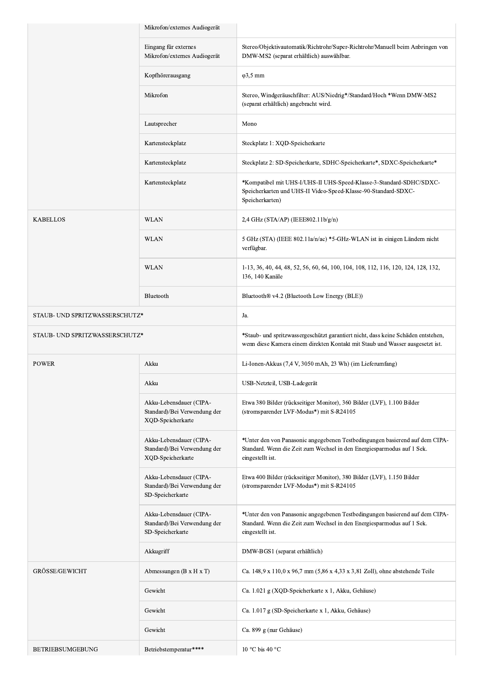|                                | Mikrofon/externes Audiogerät                                                 |                                                                                                                                                                            |
|--------------------------------|------------------------------------------------------------------------------|----------------------------------------------------------------------------------------------------------------------------------------------------------------------------|
|                                | Eingang für externes<br>Mikrofon/externes Audiogerät                         | Stereo/Objektivautomatik/Richtrohr/Super-Richtrohr/Manuell beim Anbringen von<br>DMW-MS2 (separat erhältlich) auswählbar.                                                  |
|                                | Kopfhörerausgang                                                             | $\varphi$ 3,5 mm                                                                                                                                                           |
|                                | Mikrofon                                                                     | Stereo, Windgeräuschfilter: AUS/Niedrig*/Standard/Hoch *Wenn DMW-MS2<br>(separat erhältlich) angebracht wird.                                                              |
|                                | Lautsprecher                                                                 | Mono                                                                                                                                                                       |
|                                | Kartensteckplatz                                                             | Steckplatz 1: XQD-Speicherkarte                                                                                                                                            |
|                                | Kartensteckplatz                                                             | Steckplatz 2: SD-Speicherkarte, SDHC-Speicherkarte*, SDXC-Speicherkarte*                                                                                                   |
|                                | Kartensteckplatz                                                             | *Kompatibel mit UHS-I/UHS-II UHS-Speed-Klasse-3-Standard-SDHC/SDXC-<br>Speicherkarten und UHS-II Video-Speed-Klasse-90-Standard-SDXC-<br>Speicherkarten)                   |
| KABELLOS                       | <b>WLAN</b>                                                                  | 2,4 GHz (STA/AP) (IEEE802.11b/g/n)                                                                                                                                         |
|                                | <b>WLAN</b>                                                                  | 5 GHz (STA) (IEEE 802.11a/n/ac) *5-GHz-WLAN ist in einigen Ländern nicht<br>verfügbar.                                                                                     |
|                                | <b>WLAN</b>                                                                  | 1-13, 36, 40, 44, 48, 52, 56, 60, 64, 100, 104, 108, 112, 116, 120, 124, 128, 132,<br>136, 140 Kanäle                                                                      |
|                                | Bluetooth                                                                    | Bluetooth® v4.2 (Bluetooth Low Energy (BLE))                                                                                                                               |
| STAUB- UND SPRITZWASSERSCHUTZ* |                                                                              | Ja.                                                                                                                                                                        |
| STAUB- UND SPRITZWASSERSCHUTZ* |                                                                              | *Staub- und spritzwassergeschützt garantiert nicht, dass keine Schäden entstehen,<br>wenn diese Kamera einem direkten Kontakt mit Staub und Wasser ausgesetzt ist.         |
| POWER                          | Akku                                                                         | Li-Ionen-Akkus (7,4 V, 3050 mAh, 23 Wh) (im Lieferumfang)                                                                                                                  |
|                                | Akku                                                                         | USB-Netzteil, USB-Ladegerät                                                                                                                                                |
|                                | Akku-Lebensdauer (CIPA-<br>Standard)/Bei Verwendung der<br>XQD-Speicherkarte | Etwa 380 Bilder (rückseitiger Monitor), 360 Bilder (LVF), 1.100 Bilder<br>(stromsparender LVF-Modus*) mit S-R24105                                                         |
|                                | Akku-Lebensdauer (CIPA-<br>Standard)/Bei Verwendung der<br>XQD-Speicherkarte | *Unter den von Panasonic angegebenen Testbedingungen basierend auf dem CIPA-<br>Standard. Wenn die Zeit zum Wechsel in den Energiesparmodus auf 1 Sek.<br>eingestellt ist. |
|                                | Akku-Lebensdauer (CIPA-<br>Standard)/Bei Verwendung der<br>SD-Speicherkarte  | Etwa 400 Bilder (rückseitiger Monitor), 380 Bilder (LVF), 1.150 Bilder<br>(stromsparender LVF-Modus*) mit S-R24105                                                         |
|                                | Akku-Lebensdauer (CIPA-<br>Standard)/Bei Verwendung der<br>SD-Speicherkarte  | *Unter den von Panasonic angegebenen Testbedingungen basierend auf dem CIPA-<br>Standard. Wenn die Zeit zum Wechsel in den Energiesparmodus auf 1 Sek.<br>eingestellt ist. |
|                                | Akkugriff                                                                    | DMW-BGS1 (separat erhältlich)                                                                                                                                              |
| GRÖSSE/GEWICHT                 | Abmessungen ( $B \times H \times T$ )                                        | Ca. 148,9 x 110,0 x 96,7 mm (5,86 x 4,33 x 3,81 Zoll), ohne abstehende Teile                                                                                               |
|                                | Gewicht                                                                      | Ca. 1.021 g (XQD-Speicherkarte x 1, Akku, Gehäuse)                                                                                                                         |
|                                | Gewicht                                                                      | Ca. 1.017 g (SD-Speicherkarte x 1, Akku, Gehäuse)                                                                                                                          |
|                                | Gewicht                                                                      | Ca. 899 g (nur Gehäuse)                                                                                                                                                    |
| BETRIEBSUMGEBUNG               | Betriebstemperatur****                                                       | 10 °C bis 40 °C                                                                                                                                                            |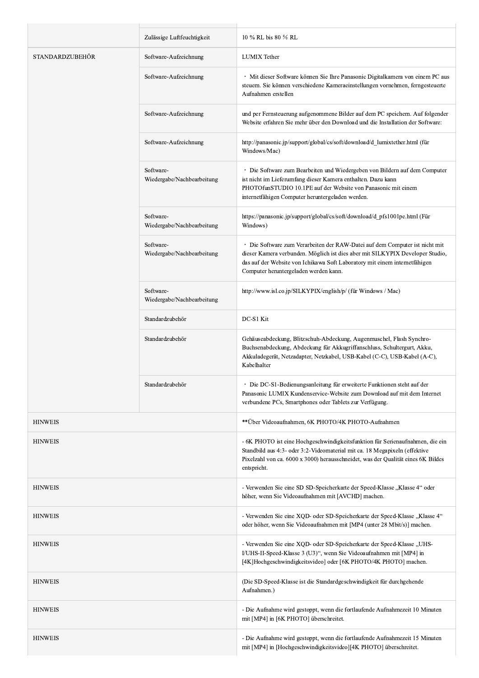|                        | Zulässige Luftfeuchtigkeit              | 10 % RL bis 80 % RL                                                                                                                                                                                                                                                                 |
|------------------------|-----------------------------------------|-------------------------------------------------------------------------------------------------------------------------------------------------------------------------------------------------------------------------------------------------------------------------------------|
| <b>STANDARDZUBEHÖR</b> | Software-Aufzeichnung                   | <b>LUMIX</b> Tether                                                                                                                                                                                                                                                                 |
|                        | Software-Aufzeichnung                   | · Mit dieser Software können Sie Ihre Panasonic Digitalkamera von einem PC aus<br>steuern. Sie können verschiedene Kameraeinstellungen vornehmen, ferngesteuerte<br>Aufnahmen erstellen                                                                                             |
|                        | Software-Aufzeichnung                   | und per Fernsteuerung aufgenommene Bilder auf dem PC speichern. Auf folgender<br>Website erfahren Sie mehr über den Download und die Installation der Software:                                                                                                                     |
|                        | Software-Aufzeichnung                   | http://panasonic.jp/support/global/cs/soft/download/d lumixtether.html (für<br>Windows/Mac)                                                                                                                                                                                         |
|                        | Software-<br>Wiedergabe/Nachbearbeitung | · Die Software zum Bearbeiten und Wiedergeben von Bildern auf dem Computer<br>ist nicht im Lieferumfang dieser Kamera enthalten. Dazu kann<br>PHOTOfunSTUDIO 10.1PE auf der Website von Panasonic mit einem<br>internetfähigen Computer heruntergeladen werden.                     |
|                        | Software-<br>Wiedergabe/Nachbearbeitung | https://panasonic.jp/support/global/cs/soft/download/d_pfs1001pe.html (Für<br>Windows)                                                                                                                                                                                              |
|                        | Software-<br>Wiedergabe/Nachbearbeitung | · Die Software zum Verarbeiten der RAW-Datei auf dem Computer ist nicht mit<br>dieser Kamera verbunden. Möglich ist dies aber mit SILKYPIX Developer Studio,<br>das auf der Website von Ichikawa Soft Laboratory mit einem internetfähigen<br>Computer heruntergeladen werden kann. |
|                        | Software-<br>Wiedergabe/Nachbearbeitung | http://www.isl.co.jp/SILKYPIX/english/p/ (für Windows / Mac)                                                                                                                                                                                                                        |
|                        | Standardzubehör                         | DC-S1 Kit                                                                                                                                                                                                                                                                           |
|                        | Standardzubehör                         | Gehäuseabdeckung, Blitzschuh-Abdeckung, Augenmuschel, Flash Synchro-<br>Buchsenabdeckung, Abdeckung für Akkugriffanschluss, Schultergurt, Akku,<br>Akkuladegerät, Netzadapter, Netzkabel, USB-Kabel (C-C), USB-Kabel (A-C),<br>Kabelhalter                                          |
|                        | Standardzubehör                         | Die DC-S1-Bedienungsanleitung für erweiterte Funktionen steht auf der<br>Panasonic LUMIX Kundenservice-Website zum Download auf mit dem Internet<br>verbundene PCs, Smartphones oder Tablets zur Verfügung.                                                                         |
| <b>HINWEIS</b>         |                                         | ** Über Videoaufnahmen, 6K PHOTO/4K PHOTO-Aufnahmen                                                                                                                                                                                                                                 |
| <b>HINWEIS</b>         |                                         | - 6K PHOTO ist eine Hochgeschwindigkeitsfunktion für Serienaufnahmen, die ein<br>Standbild aus 4:3- oder 3:2-Videomaterial mit ca. 18 Megapixeln (effektive<br>Pixelzahl von ca. 6000 x 3000) herausschneidet, was der Qualität eines 6K Bildes<br>entspricht.                      |
| <b>HINWEIS</b>         |                                         | - Verwenden Sie eine SD SD-Speicherkarte der Speed-Klasse "Klasse 4" oder<br>höher, wenn Sie Videoaufnahmen mit [AVCHD] machen.                                                                                                                                                     |
| <b>HINWEIS</b>         |                                         | - Verwenden Sie eine XQD- oder SD-Speicherkarte der Speed-Klasse "Klasse 4"<br>oder höher, wenn Sie Videoaufnahmen mit [MP4 (unter 28 Mbit/s)] machen.                                                                                                                              |
| <b>HINWEIS</b>         |                                         | - Verwenden Sie eine XQD- oder SD-Speicherkarte der Speed-Klasse "UHS-<br>I/UHS-II-Speed-Klasse 3 (U3)", wenn Sie Videoaufnahmen mit [MP4] in<br>[4K]Hochgeschwindigkeitsvideo] oder [6K PHOTO/4K PHOTO] machen.                                                                    |
| <b>HINWEIS</b>         |                                         | (Die SD-Speed-Klasse ist die Standardgeschwindigkeit für durchgehende<br>Aufnahmen.)                                                                                                                                                                                                |
| <b>HINWEIS</b>         |                                         | - Die Aufnahme wird gestoppt, wenn die fortlaufende Aufnahmezeit 10 Minuten<br>mit [MP4] in [6K PHOTO] überschreitet.                                                                                                                                                               |
| <b>HINWEIS</b>         |                                         | - Die Aufnahme wird gestoppt, wenn die fortlaufende Aufnahmezeit 15 Minuten<br>mit [MP4] in [Hochgeschwindigkeitsvideo][4K PHOTO] überschreitet.                                                                                                                                    |